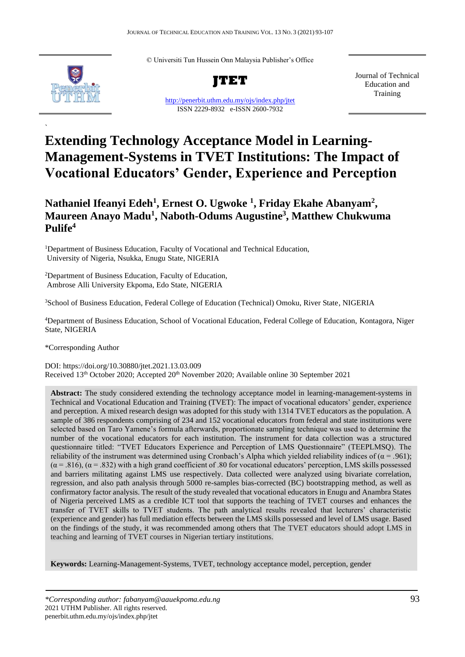© Universiti Tun Hussein Onn Malaysia Publisher's Office



`

**JTET**

<http://penerbit.uthm.edu.my/ojs/index.php/jtet> ISSN 2229-8932 e-ISSN 2600-7932

Journal of Technical Education and Training

# **Extending Technology Acceptance Model in Learning-Management-Systems in TVET Institutions: The Impact of Vocational Educators' Gender, Experience and Perception**

## **Nathaniel Ifeanyi Edeh<sup>1</sup> , Ernest O. Ugwoke <sup>1</sup> , Friday Ekahe Abanyam<sup>2</sup> , Maureen Anayo Madu<sup>1</sup> , Naboth-Odums Augustine<sup>3</sup> , Matthew Chukwuma Pulife<sup>4</sup>**

<sup>1</sup>Department of Business Education, Faculty of Vocational and Technical Education, University of Nigeria, Nsukka, Enugu State, NIGERIA

<sup>2</sup>Department of Business Education, Faculty of Education, Ambrose Alli University Ekpoma, Edo State, NIGERIA

<sup>3</sup>School of Business Education, Federal College of Education (Technical) Omoku, River State, NIGERIA

<sup>4</sup>Department of Business Education, School of Vocational Education, Federal College of Education, [Kontagora,](https://r.search.yahoo.com/_ylt=AwrDQrz3VuVcf2QAZgwPxQt.;_ylu=X3oDMTByOHZyb21tBGNvbG8DYmYxBHBvcwMxBHZ0aWQDBHNlYwNzcg--/RV=2/RE=1558562680/RO=10/RU=https%3a%2f%2fwww.fcetomoku.edu.ng%2fn%2f/RK=2/RS=wr90nFkThlZi2qqa99_2XkRgyWk-) Niger State, NIGERIA

\*Corresponding Author

DOI: https://doi.org/10.30880/jtet.2021.13.03.009 Received 13<sup>th</sup> October 2020; Accepted 20<sup>th</sup> November 2020; Available online 30 September 2021

**Abstract:** The study considered extending the technology acceptance model in learning-management-systems in Technical and Vocational Education and Training (TVET): The impact of vocational educators' gender, experience and perception. A mixed research design was adopted for this study with 1314 TVET educators as the population. A sample of 386 respondents comprising of 234 and 152 vocational educators from federal and state institutions were selected based on Taro Yamene's formula afterwards, proportionate sampling technique was used to determine the number of the vocational educators for each institution. The instrument for data collection was a structured questionnaire titled: "TVET Educators Experience and Perception of LMS Questionnaire" (TEEPLMSQ). The reliability of the instrument was determined using Cronbach's Alpha which yielded reliability indices of ( $\alpha$  = .961);  $(\alpha = .816)$ ,  $(\alpha = .832)$  with a high grand coefficient of .80 for vocational educators' perception, LMS skills possessed and barriers militating against LMS use respectively. Data collected were analyzed using bivariate correlation, regression, and also path analysis through 5000 re-samples bias-corrected (BC) bootstrapping method, as well as confirmatory factor analysis. The result of the study revealed that vocational educators in Enugu and Anambra States of Nigeria perceived LMS as a credible ICT tool that supports the teaching of TVET courses and enhances the transfer of TVET skills to TVET students. The path analytical results revealed that lecturers' characteristic (experience and gender) has full mediation effects between the LMS skills possessed and level of LMS usage. Based on the findings of the study, it was recommended among others that The TVET educators should adopt LMS in teaching and learning of TVET courses in Nigerian tertiary institutions.

**Keywords:** Learning-Management-Systems, TVET, technology acceptance model, perception, gender

*\*Corresponding author: fabanyam@aauekpoma.edu.ng* 93 2021 UTHM Publisher. All rights reserved. penerbit.uthm.edu.my/ojs/index.php/jtet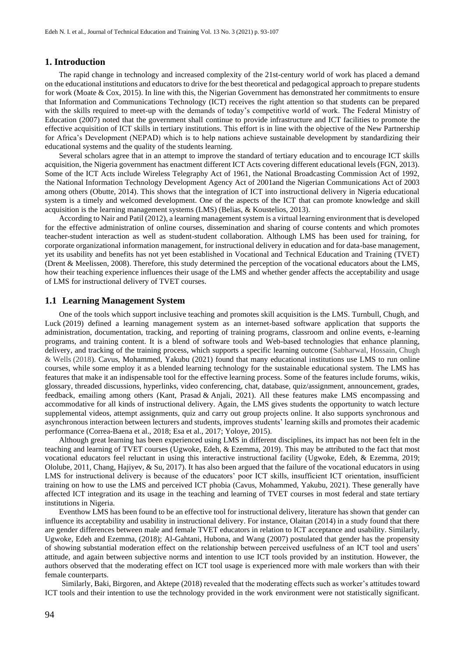#### **1. Introduction**

The rapid change in technology and increased complexity of the 21st-century world of work has placed a demand on the educational institutions and educators to drive for the best theoretical and pedagogical approach to prepare students for work (Moate & Cox, 2015). In line with this, the Nigerian Government has demonstrated her commitments to ensure that Information and Communications Technology (ICT) receives the right attention so that students can be prepared with the skills required to meet-up with the demands of today's competitive world of work. The Federal Ministry of Education (2007) noted that the government shall continue to provide infrastructure and ICT facilities to promote the effective acquisition of ICT skills in tertiary institutions. This effort is in line with the objective of the New Partnership for Africa's Development (NEPAD) which is to help nations achieve sustainable development by standardizing their educational systems and the quality of the students learning.

Several scholars agree that in an attempt to improve the standard of tertiary education and to encourage ICT skills acquisition, the Nigeria government has enactment different ICT Acts covering different educational levels (FGN, 2013). Some of the ICT Acts include Wireless Telegraphy Act of 1961, the National Broadcasting Commission Act of 1992, the National Information Technology Development Agency Act of 2001and the Nigerian Communications Act of 2003 among others (Obutte, 2014). This shows that the integration of ICT into instructional delivery in Nigeria educational system is a timely and welcomed development. One of the aspects of the ICT that can promote knowledge and skill acquisition is the learning management systems (LMS) (Belias, & Koustelios, 2013).

According to Nair and Patil (2012), a learning management system is a virtual learning environment that is developed for the effective administration of online courses, dissemination and sharing of course contents and which promotes teacher-student interaction as well as student-student collaboration. Although LMS has been used for training, for corporate organizational information management, for instructional delivery in education and for data-base management, yet its usability and benefits has not yet been established in Vocational and Technical Education and Training (TVET) (Drent & Meelissen, 2008). Therefore, this study determined the perception of the vocational educators about the LMS, how their teaching experience influences their usage of the LMS and whether gender affects the acceptability and usage of LMS for instructional delivery of TVET courses.

## **1.1 Learning Management System**

One of the tools which support inclusive teaching and promotes skill acquisition is the LMS. Turnbull, Chugh, and Luck [\(2019\)](https://www.tandfonline.com/doi/full/10.1080/1743727X.2020.1737002) defined a learning management system as an internet-based software application that supports the administration, documentation, tracking, and reporting of training programs, classroom and online events, e-learning programs, and training content. It is a blend of software tools and Web-based technologies that enhance planning, delivery, and tracking of the training process, which supports a specific learning outcome (Sabharwal, Hossain, Chugh & Wells (2018). Cavus, Mohammed, Yakubu (2021) found that many educational institutions use LMS to run online courses, while some employ it as a blended learning technology for the sustainable educational system. The LMS has features that make it an indispensable tool for the effective learning process. Some of the features include forums, wikis, glossary, threaded discussions, hyperlinks, video conferencing, chat, database, quiz/assignment, announcement, grades, feedback, emailing among others [\(Kant,](https://www.emerald.com/insight/search?q=Nikhil%20Kant) [Prasad](https://www.emerald.com/insight/search?q=K.D.%20Prasad) & [Anjali, 2](https://www.emerald.com/insight/search?q=Kumari%20Anjali)021). All these features make LMS encompassing and accommodative for all kinds of instructional delivery. Again, the LMS gives students the opportunity to watch lecture supplemental videos, attempt assignments, quiz and carry out group projects online. It also supports synchronous and asynchronous interaction between lecturers and students, improves students' learning skills and promotes their academic performance (Correa-Baena et al., 2018; Esa et al., 2017; Yoloye, 2015).

Although great learning has been experienced using LMS in different disciplines, its impact has not been felt in the teaching and learning of TVET courses (Ugwoke, Edeh, & Ezemma, 2019). This may be attributed to the fact that most vocational educators feel reluctant in using this interactive instructional facility (Ugwoke, Edeh, & Ezemma, 2019; Ololube, 2011, Chang, Hajiyev, & Su, 2017). It has also been argued that the failure of the vocational educators in using LMS for instructional delivery is because of the educators' poor ICT skills, insufficient ICT orientation, insufficient training on how to use the LMS and perceived ICT phobia (Cavus, Mohammed, Yakubu, 2021). These generally have affected ICT integration and its usage in the teaching and learning of TVET courses in most federal and state tertiary institutions in Nigeria.

Eventhow LMS has been found to be an effective tool for instructional delivery, literature has shown that gender can influence its acceptability and usability in instructional delivery. For instance, Olaitan (2014) in a study found that there are gender differences between male and female TVET educators in relation to ICT acceptance and usability. Similarly, Ugwoke, Edeh and Ezemma, (2018); Al-Gahtani, Hubona, and Wang (2007) postulated that gender has the propensity of showing substantial moderation effect on the relationship between perceived usefulness of an ICT tool and users' attitude, and again between subjective norms and intention to use ICT tools provided by an institution. However, the authors observed that the moderating effect on ICT tool usage is experienced more with male workers than with their female counterparts.

Similarly, Baki, Birgoren, and Aktepe (2018) revealed that the moderating effects such as worker's attitudes toward ICT tools and their intention to use the technology provided in the work environment were not statistically significant.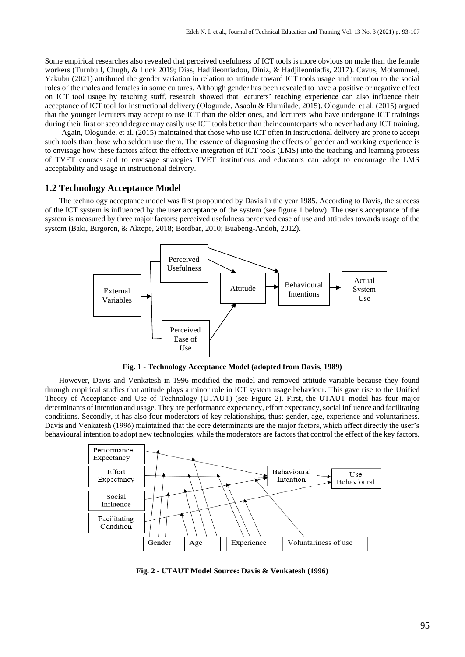Some empirical researches also revealed that perceived usefulness of ICT tools is more obvious on male than the female workers (Turnbull, Chugh, & Luck [2019;](https://www.tandfonline.com/doi/full/10.1080/1743727X.2020.1737002) Dias, Hadjileontiadou, Diniz, & Hadjileontiadis, 2017). Cavus, Mohammed, Yakubu (2021) attributed the gender variation in relation to attitude toward ICT tools usage and intention to the social roles of the males and females in some cultures. Although gender has been revealed to have a positive or negative effect on ICT tool usage by teaching staff, research showed that lecturers' teaching experience can also influence their acceptance of ICT tool for instructional delivery (Ologunde, Asaolu & Elumilade, 2015). Ologunde, et al. (2015) argued that the younger lecturers may accept to use ICT than the older ones, and lecturers who have undergone ICT trainings during their first or second degree may easily use ICT tools better than their counterparts who never had any ICT training.

Again, Ologunde, et al. (2015) maintained that those who use ICT often in instructional delivery are prone to accept such tools than those who seldom use them. The essence of diagnosing the effects of gender and working experience is to envisage how these factors affect the effective integration of ICT tools (LMS) into the teaching and learning process of TVET courses and to envisage strategies TVET institutions and educators can adopt to encourage the LMS acceptability and usage in instructional delivery.

## **1.2 Technology Acceptance Model**

The technology acceptance model was first propounded by Davis in the year 1985. According to Davis, the success of the ICT system is influenced by the user acceptance of the system (see figure 1 below). The user's acceptance of the system is measured by three major factors: perceived usefulness perceived ease of use and attitudes towards usage of the system (Baki, Birgoren, & Aktepe, 2018; Bordbar, 2010; Buabeng-Andoh, 2012).



**Fig. 1 - Technology Acceptance Model (adopted from Davis, 1989)**

However, Davis and Venkatesh in 1996 modified the model and removed attitude variable because they found through empirical studies that attitude plays a minor role in ICT system usage behaviour. This gave rise to the Unified Theory of Acceptance and Use of Technology (UTAUT) (see Figure 2). First, the UTAUT model has four major determinants of intention and usage. They are performance expectancy, effort expectancy, social influence and facilitating conditions. Secondly, it has also four moderators of key relationships, thus: gender, age, experience and voluntariness. Davis and Venkatesh (1996) maintained that the core determinants are the major factors, which affect directly the user's behavioural intention to adopt new technologies, while the moderators are factors that control the effect of the key factors.



**Fig. 2 - UTAUT Model Source: Davis & Venkatesh (1996)**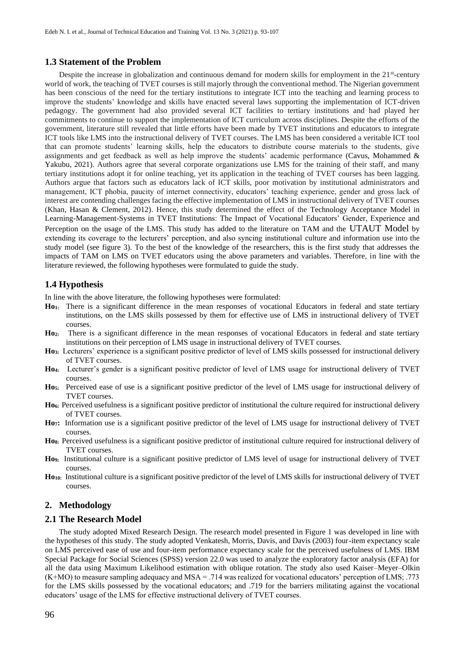## **1.3 Statement of the Problem**

Despite the increase in globalization and continuous demand for modern skills for employment in the 21<sup>st</sup>-century world of work, the teaching of TVET courses is still majorly through the conventional method. The Nigerian government has been conscious of the need for the tertiary institutions to integrate ICT into the teaching and learning process to improve the students' knowledge and skills have enacted several laws supporting the implementation of ICT-driven pedagogy. The government had also provided several ICT facilities to tertiary institutions and had played her commitments to continue to support the implementation of ICT curriculum across disciplines. Despite the efforts of the government, literature still revealed that little efforts have been made by TVET institutions and educators to integrate ICT tools like LMS into the instructional delivery of TVET courses. The LMS has been considered a veritable ICT tool that can promote students' learning skills, help the educators to distribute course materials to the students, give assignments and get feedback as well as help improve the students' academic performance (Cavus, Mohammed & Yakubu, 2021). Authors agree that several corporate organizations use LMS for the training of their staff, and many tertiary institutions adopt it for online teaching, yet its application in the teaching of TVET courses has been lagging. Authors argue that factors such as educators lack of ICT skills, poor motivation by institutional administrators and management, ICT phobia, paucity of internet connectivity, educators' teaching experience, gender and gross lack of interest are contending challenges facing the effective implementation of LMS in instructional delivery of TVET courses (Khan, Hasan & Clement, 2012). Hence, this study determined the effect of the Technology Acceptance Model in Learning-Management-Systems in TVET Institutions: The Impact of Vocational Educators' Gender, Experience and Perception on the usage of the LMS. This study has added to the literature on TAM and the UTAUT Model by extending its coverage to the lecturers' perception, and also syncing institutional culture and information use into the study model (see figure 3). To the best of the knowledge of the researchers, this is the first study that addresses the impacts of TAM on LMS on TVET educators using the above parameters and variables. Therefore, in line with the literature reviewed, the following hypotheses were formulated to guide the study.

## **1.4 Hypothesis**

In line with the above literature, the following hypotheses were formulated:

- **Ho1:** There is a significant difference in the mean responses of vocational Educators in federal and state tertiary institutions, on the LMS skills possessed by them for effective use of LMS in instructional delivery of TVET courses.
- **Ho2:** There is a significant difference in the mean responses of vocational Educators in federal and state tertiary institutions on their perception of LMS usage in instructional delivery of TVET courses.
- **Ho3:** Lecturers' experience is a significant positive predictor of level of LMS skills possessed for instructional delivery of TVET courses.
- **Ho4:** Lecturer's gender is a significant positive predictor of level of LMS usage for instructional delivery of TVET courses.
- **Ho5:** Perceived ease of use is a significant positive predictor of the level of LMS usage for instructional delivery of TVET courses.
- **Ho6:** Perceived usefulness is a significant positive predictor of institutional the culture required for instructional delivery of TVET courses.
- **Ho7:** Information use is a significant positive predictor of the level of LMS usage for instructional delivery of TVET courses.
- **Ho8:** Perceived usefulness is a significant positive predictor of institutional culture required for instructional delivery of TVET courses.
- **Ho9:** Institutional culture is a significant positive predictor of LMS level of usage for instructional delivery of TVET courses.
- **Ho10:** Institutional culture is a significant positive predictor of the level of LMS skills for instructional delivery of TVET courses.

## **2. Methodology**

#### **2.1 The Research Model**

The study adopted Mixed Research Design. The research model presented in Figure 1 was developed in line with the hypotheses of this study. The study adopted Venkatesh, Morris, Davis, and Davis (2003) four-item expectancy scale on LMS perceived ease of use and four-item performance expectancy scale for the perceived usefulness of LMS. IBM Special Package for Social Sciences (SPSS) version 22.0 was used to analyze the exploratory factor analysis (EFA) for all the data using Maximum Likelihood estimation with oblique rotation. The study also used Kaiser–Meyer–Olkin (K+MO) to measure sampling adequacy and MSA = .714 was realized for vocational educators' perception of LMS; .773 for the LMS skills possessed by the vocational educators; and .719 for the barriers militating against the vocational educators' usage of the LMS for effective instructional delivery of TVET courses.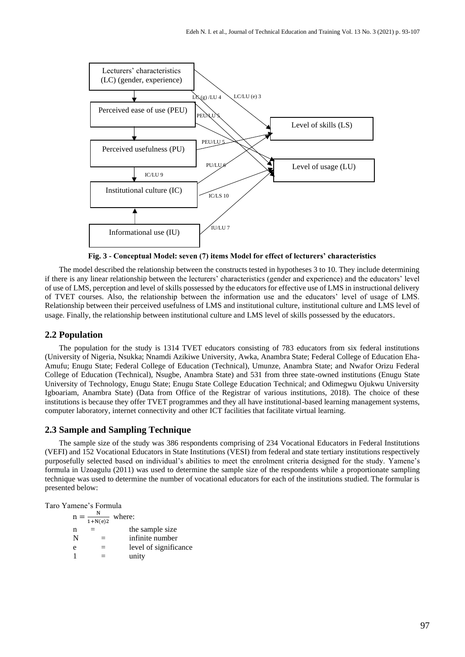

**Fig. 3 - Conceptual Model: seven (7) items Model for effect of lecturers' characteristics**

The model described the relationship between the constructs tested in hypotheses 3 to 10. They include determining if there is any linear relationship between the lecturers' characteristics (gender and experience) and the educators' level of use of LMS, perception and level of skills possessed by the educators for effective use of LMS in instructional delivery of TVET courses. Also, the relationship between the information use and the educators' level of usage of LMS. Relationship between their perceived usefulness of LMS and institutional culture, institutional culture and LMS level of usage. Finally, the relationship between institutional culture and LMS level of skills possessed by the educators.

## **2.2 Population**

The population for the study is 1314 TVET educators consisting of 783 educators from six federal institutions (University of Nigeria, Nsukka; Nnamdi Azikiwe University, Awka, Anambra State; Federal College of Education Eha-Amufu; Enugu State; Federal College of Education (Technical), Umunze, Anambra State; and Nwafor Orizu Federal College of Education (Technical), Nsugbe, Anambra State) and 531 from three state-owned institutions (Enugu State University of Technology, Enugu State; Enugu State College Education Technical; and Odimegwu Ojukwu University Igboariam, Anambra State) (Data from Office of the Registrar of various institutions, 2018). The choice of these institutions is because they offer TVET programmes and they all have institutional-based learning management systems, computer laboratory, internet connectivity and other ICT facilities that facilitate virtual learning.

## **2.3 Sample and Sampling Technique**

The sample size of the study was 386 respondents comprising of 234 Vocational Educators in Federal Institutions (VEFI) and 152 Vocational Educators in State Institutions (VESI) from federal and state tertiary institutions respectively purposefully selected based on individual's abilities to meet the enrolment criteria designed for the study. Yamene's formula in Uzoagulu (2011) was used to determine the sample size of the respondents while a proportionate sampling technique was used to determine the number of vocational educators for each of the institutions studied. The formular is presented below:

Taro Yamene's Formula

|   | $1+N(e)2$ | where:                |
|---|-----------|-----------------------|
| n |           | the sample size       |
| N |           | infinite number       |
| e |           | level of significance |
|   | =         | unity                 |
|   |           |                       |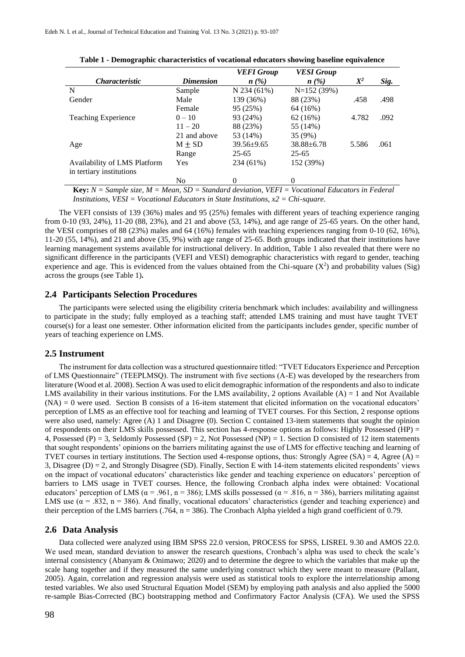|                              |                  | <b>VEFI</b> Group | <b>VESI Group</b>  |       |      |
|------------------------------|------------------|-------------------|--------------------|-------|------|
| <i>Characteristic</i>        | <b>Dimension</b> | n(%)              | $n\left(\%\right)$ | $X^2$ | Sig. |
| N                            | Sample           | N 234 (61%)       | $N=152(39%)$       |       |      |
| Gender                       | Male             | 139 (36%)         | 88 (23%)           | .458  | .498 |
|                              | Female           | 95 (25%)          | 64 (16%)           |       |      |
| <b>Teaching Experience</b>   | $0 - 10$         | 93 (24%)          | 62(16%)            | 4.782 | .092 |
|                              | $11 - 20$        | 88 (23%)          | 55 (14%)           |       |      |
|                              | 21 and above     | 53 (14%)          | 35 (9%)            |       |      |
| Age                          | $M \pm SD$       | $39.56 \pm 9.65$  | $38.88 \pm 6.78$   | 5.586 | .061 |
|                              | Range            | $25 - 65$         | $25 - 65$          |       |      |
| Availability of LMS Platform | Yes              | 234 (61%)         | 152 (39%)          |       |      |
| in tertiary institutions     |                  |                   |                    |       |      |
|                              | N <sub>0</sub>   | 0                 | 0                  |       |      |

|  | Table 1 - Demographic characteristics of vocational educators showing baseline equivalence |  |  |  |
|--|--------------------------------------------------------------------------------------------|--|--|--|
|  |                                                                                            |  |  |  |

**Key:** *N = Sample size, M = Mean, SD = Standard deviation, VEFI = Vocational Educators in Federal Institutions, VESI = Vocational Educators in State Institutions, x2 = Chi-square.*

The VEFI consists of 139 (36%) males and 95 (25%) females with different years of teaching experience ranging from 0-10 (93, 24%), 11-20 (88, 23%), and 21 and above (53, 14%), and age range of 25-65 years. On the other hand, the VESI comprises of 88 (23%) males and 64 (16%) females with teaching experiences ranging from 0-10 (62, 16%), 11-20 (55, 14%), and 21 and above (35, 9%) with age range of 25-65. Both groups indicated that their institutions have learning management systems available for instructional delivery. In addition, Table 1 also revealed that there were no significant difference in the participants (VEFI and VESI) demographic characteristics with regard to gender, teaching experience and age. This is evidenced from the values obtained from the Chi-square  $(X^2)$  and probability values (Sig) across the groups (see Table 1)*.*

#### **2.4 Participants Selection Procedures**

The participants were selected using the eligibility criteria benchmark which includes: availability and willingness to participate in the study; fully employed as a teaching staff; attended LMS training and must have taught TVET course(s) for a least one semester. Other information elicited from the participants includes gender, specific number of years of teaching experience on LMS.

#### **2.5 Instrument**

The instrument for data collection was a structured questionnaire titled: "TVET Educators Experience and Perception of LMS Questionnaire" (TEEPLMSQ). The instrument with five sections (A-E) was developed by the researchers from literature (Wood et al. 2008). Section A was used to elicit demographic information of the respondents and also to indicate LMS availability in their various institutions. For the LMS availability, 2 options Available  $(A) = 1$  and Not Available  $(NA) = 0$  were used. Section B consists of a 16-item statement that elicited information on the vocational educators' perception of LMS as an effective tool for teaching and learning of TVET courses. For this Section, 2 response options were also used, namely: Agree (A) 1 and Disagree (0). Section C contained 13-item statements that sought the opinion of respondents on their LMS skills possessed. This section has 4-response options as follows: Highly Possessed (HP) = 4, Possessed (P) = 3, Seldomly Possessed (SP) = 2, Not Possessed (NP) = 1. Section D consisted of 12 item statements that sought respondents' opinions on the barriers militating against the use of LMS for effective teaching and learning of TVET courses in tertiary institutions. The Section used 4-response options, thus: Strongly Agree (SA) = 4, Agree (A) = 3, Disagree (D) = 2, and Strongly Disagree (SD). Finally, Section E with 14-item statements elicited respondents' views on the impact of vocational educators' characteristics like gender and teaching experience on educators' perception of barriers to LMS usage in TVET courses. Hence, the following Cronbach alpha index were obtained: Vocational educators' perception of LMS ( $\alpha$  = .961, n = 386); LMS skills possessed ( $\alpha$  = .816, n = 386), barriers militating against LMS use ( $\alpha$  = .832, n = 386). And finally, vocational educators' characteristics (gender and teaching experience) and their perception of the LMS barriers  $(.764, n = 386)$ . The Cronbach Alpha yielded a high grand coefficient of 0.79.

#### **2.6 Data Analysis**

Data collected were analyzed using IBM SPSS 22.0 version, PROCESS for SPSS, LISREL 9.30 and AMOS 22.0. We used mean, standard deviation to answer the research questions, Cronbach's alpha was used to check the scale's internal consistency (Abanyam & Onimawo; 2020) and to determine the degree to which the variables that make up the scale hang together and if they measured the same underlying construct which they were meant to measure (Pallant, 2005). Again, correlation and regression analysis were used as statistical tools to explore the interrelationship among tested variables. We also used Structural Equation Model (SEM) by employing path analysis and also applied the 5000 re-sample Bias-Corrected (BC) bootstrapping method and Confirmatory Factor Analysis (CFA). We used the SPSS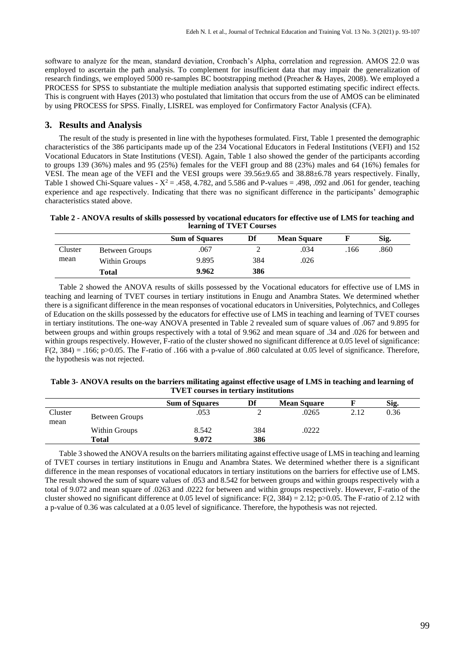software to analyze for the mean, standard deviation, Cronbach's Alpha, correlation and regression. AMOS 22.0 was employed to ascertain the path analysis. To complement for insufficient data that may impair the generalization of research findings, we employed 5000 re-samples BC bootstrapping method (Preacher & Hayes, 2008). We employed a PROCESS for SPSS to substantiate the multiple mediation analysis that supported estimating specific indirect effects. This is congruent with Hayes (2013) who postulated that limitation that occurs from the use of AMOS can be eliminated by using PROCESS for SPSS. Finally, LISREL was employed for Confirmatory Factor Analysis (CFA).

## **3. Results and Analysis**

The result of the study is presented in line with the hypotheses formulated. First, Table 1 presented the demographic characteristics of the 386 participants made up of the 234 Vocational Educators in Federal Institutions (VEFI) and 152 Vocational Educators in State Institutions (VESI). Again, Table 1 also showed the gender of the participants according to groups 139 (36%) males and 95 (25%) females for the VEFI group and 88 (23%) males and 64 (16%) females for VESI. The mean age of the VEFI and the VESI groups were 39.56±9.65 and 38.88±6.78 years respectively. Finally, Table 1 showed Chi-Square values -  $X^2 = .458, 4.782,$  and 5.586 and P-values = .498, .092 and .061 for gender, teaching experience and age respectively. Indicating that there was no significant difference in the participants' demographic characteristics stated above.

## **Table 2 - ANOVA results of skills possessed by vocational educators for effective use of LMS for teaching and learning of TVET Courses**

|         |                | <b>Sum of Squares</b> | Df  | <b>Mean Square</b> |      | Sig. |
|---------|----------------|-----------------------|-----|--------------------|------|------|
| Cluster | Between Groups | .067                  |     | .034               | .166 | .860 |
| mean    | Within Groups  | 9.895                 | 384 | .026               |      |      |
|         | <b>Total</b>   | 9.962                 | 386 |                    |      |      |

Table 2 showed the ANOVA results of skills possessed by the Vocational educators for effective use of LMS in teaching and learning of TVET courses in tertiary institutions in Enugu and Anambra States. We determined whether there is a significant difference in the mean responses of vocational educators in Universities, Polytechnics, and Colleges of Education on the skills possessed by the educators for effective use of LMS in teaching and learning of TVET courses in tertiary institutions. The one-way ANOVA presented in Table 2 revealed sum of square values of .067 and 9.895 for between groups and within groups respectively with a total of 9.962 and mean square of .34 and .026 for between and within groups respectively. However, F-ratio of the cluster showed no significant difference at 0.05 level of significance:  $F(2, 384) = .166$ ; p $>0.05$ . The F-ratio of .166 with a p-value of .860 calculated at 0.05 level of significance. Therefore, the hypothesis was not rejected.

## **Table 3- ANOVA results on the barriers militating against effective usage of LMS in teaching and learning of TVET courses in tertiary institutions**

|                 |                | <b>Sum of Squares</b> | Df  | <b>Mean Square</b> |      | Sig. |
|-----------------|----------------|-----------------------|-----|--------------------|------|------|
| Cluster<br>mean | Between Groups | .053                  |     | .0265              | 2.12 | 0.36 |
|                 | Within Groups  | 8.542                 | 384 | .0222              |      |      |
|                 | Total          | 9.072                 | 386 |                    |      |      |

Table 3 showed the ANOVA results on the barriers militating against effective usage of LMS in teaching and learning of TVET courses in tertiary institutions in Enugu and Anambra States. We determined whether there is a significant difference in the mean responses of vocational educators in tertiary institutions on the barriers for effective use of LMS. The result showed the sum of square values of .053 and 8.542 for between groups and within groups respectively with a total of 9.072 and mean square of .0263 and .0222 for between and within groups respectively. However, F-ratio of the cluster showed no significant difference at 0.05 level of significance: F(2, 384) = 2.12; p>0.05. The F-ratio of 2.12 with a p-value of 0.36 was calculated at a 0.05 level of significance. Therefore, the hypothesis was not rejected.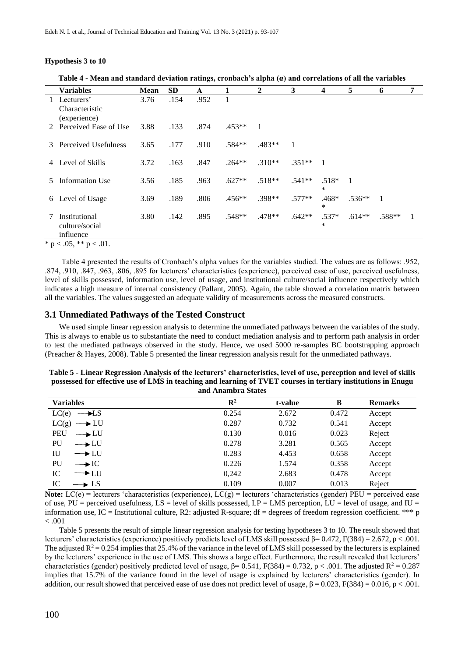#### **Hypothesis 3 to 10**

|              |                                              |             |           | $\sim$ |          |                |          |                   |                |              |   |
|--------------|----------------------------------------------|-------------|-----------|--------|----------|----------------|----------|-------------------|----------------|--------------|---|
|              | <b>Variables</b>                             | <b>Mean</b> | <b>SD</b> | A      | 1        | $\overline{2}$ | 3        | 4                 | 5              | 6            | 7 |
| $\mathbf{L}$ | Lecturers'<br>Characteristic<br>(experience) | 3.76        | .154      | .952   |          |                |          |                   |                |              |   |
|              | 2 Perceived Ease of Use                      | 3.88        | .133      | .874   | $.453**$ | -1             |          |                   |                |              |   |
|              | 3 Perceived Usefulness                       | 3.65        | .177      | .910   | $.584**$ | $.483**$       |          |                   |                |              |   |
| 4            | Level of Skills                              | 3.72        | .163      | .847   | $.264**$ | $.310**$       | $.351**$ | $\overline{1}$    |                |              |   |
| 5.           | Information Use                              | 3.56        | .185      | .963   | $.627**$ | $.518**$       | $.541**$ | $.518*$<br>*      | $\overline{1}$ |              |   |
|              | 6 Level of Usage                             | 3.69        | .189      | .806   | $.456**$ | .398**         | $.577**$ | $.468*$<br>$\ast$ | $.536**$       | $\mathbf{1}$ |   |
| 7            | Institutional<br>culture/social<br>influence | 3.80        | .142      | .895   | $.548**$ | .478**         | $.642**$ | $.537*$<br>$\ast$ | $.614**$       | .588**       |   |
|              | * $p < .05$ , ** $p < .01$ .                 |             |           |        |          |                |          |                   |                |              |   |

**Table 4 - Mean and standard deviation ratings, cronbach's alpha (α) and correlations of all the variables**

Table 4 presented the results of Cronbach's alpha values for the variables studied. The values are as follows: .952, .874, .910, .847, .963, .806, .895 for lecturers' characteristics (experience), perceived ease of use, perceived usefulness, level of skills possessed, information use, level of usage, and institutional culture/social influence respectively which indicates a high measure of internal consistency (Pallant, 2005). Again, the table showed a correlation matrix between all the variables. The values suggested an adequate validity of measurements across the measured constructs.

## **3.1 Unmediated Pathways of the Tested Construct**

We used simple linear regression analysis to determine the unmediated pathways between the variables of the study. This is always to enable us to substantiate the need to conduct mediation analysis and to perform path analysis in order to test the mediated pathways observed in the study. Hence, we used 5000 re-samples BC bootstrapping approach (Preacher & Hayes, 2008). Table 5 presented the linear regression analysis result for the unmediated pathways.

| Table 5 - Linear Regression Analysis of the lecturers' characteristics, level of use, perception and level of skills |
|----------------------------------------------------------------------------------------------------------------------|
| possessed for effective use of LMS in teaching and learning of TVET courses in tertiary institutions in Enugu        |
| and Anambra States                                                                                                   |

| <b>Variables</b>           | $\mathbf{R}^2$ | t-value | B     | <b>Remarks</b> |
|----------------------------|----------------|---------|-------|----------------|
| LC(e)<br>$\rightarrow$ LS  | 0.254          | 2.672   | 0.472 | Accept         |
| $LC(g) \longrightarrow LU$ | 0.287          | 0.732   | 0.541 | Accept         |
| $\rightarrow$ LU<br>PEU    | 0.130          | 0.016   | 0.023 | Reject         |
| PU<br>$\rightarrow$ LU     | 0.278          | 3.281   | 0.565 | Accept         |
| IU<br>$\rightarrow$ LU     | 0.283          | 4.453   | 0.658 | Accept         |
| PU<br>$\rightarrow$ IC     | 0.226          | 1.574   | 0.358 | Accept         |
| IC<br>$\rightarrow$ LU     | 0,242          | 2.683   | 0.478 | Accept         |
| IC<br>$\rightarrow$ LS     | 0.109          | 0.007   | 0.013 | Reject         |

**Note:**  $LC(e)$  = lecturers 'characteristics (experience),  $LC(g)$  = lecturers 'characteristics (gender) PEU = perceived ease of use,  $PU =$  perceived usefulness,  $LS =$  level of skills possessed,  $LP = LMS$  perception,  $LU =$  level of usage, and  $IU =$ information use,  $IC =$  Institutional culture, R2: adjusted R-square; df = degrees of freedom regression coefficient. \*\*\* p  $< .001$ 

Table 5 presents the result of simple linear regression analysis for testing hypotheses 3 to 10. The result showed that lecturers' characteristics (experience) positively predicts level of LMS skill possessed β= 0.472, F(384) = 2.672, p < .001. The adjusted  $R^2 = 0.254$  implies that 25.4% of the variance in the level of LMS skill possessed by the lecturers is explained by the lecturers' experience in the use of LMS. This shows a large effect. Furthermore, the result revealed that lecturers' characteristics (gender) positively predicted level of usage,  $\beta$ = 0.541, F(384) = 0.732, p < .001. The adjusted R<sup>2</sup> = 0.287 implies that 15.7% of the variance found in the level of usage is explained by lecturers' characteristics (gender). In addition, our result showed that perceived ease of use does not predict level of usage,  $\beta = 0.023$ ,  $F(384) = 0.016$ ,  $p < .001$ .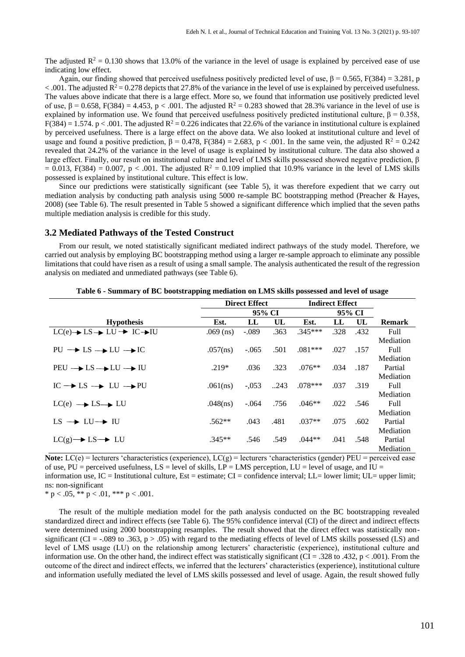The adjusted  $R^2 = 0.130$  shows that 13.0% of the variance in the level of usage is explained by perceived ease of use indicating low effect.

Again, our finding showed that perceived usefulness positively predicted level of use,  $\beta = 0.565$ , F(384) = 3.281, p  $< .001$ . The adjusted R<sup>2</sup> = 0.278 depicts that 27.8% of the variance in the level of use is explained by perceived usefulness. The values above indicate that there is a large effect. More so, we found that information use positively predicted level of use,  $β = 0.658$ , F(384) = 4.453, p < .001. The adjusted  $R^2 = 0.283$  showed that 28.3% variance in the level of use is explained by information use. We found that perceived usefulness positively predicted institutional culture,  $\beta = 0.358$ ,  $F(384) = 1.574$ . p < .001. The adjusted  $R^2 = 0.226$  indicates that 22.6% of the variance in institutional culture is explained by perceived usefulness. There is a large effect on the above data. We also looked at institutional culture and level of usage and found a positive prediction,  $\beta = 0.478$ ,  $F(384) = 2.683$ ,  $p < .001$ . In the same vein, the adjusted  $R^2 = 0.242$ revealed that 24.2% of the variance in the level of usage is explained by institutional culture. The data also showed a large effect. Finally, our result on institutional culture and level of LMS skills possessed showed negative prediction, β  $= 0.013$ , F(384) = 0.007, p < .001. The adjusted R<sup>2</sup> = 0.109 implied that 10.9% variance in the level of LMS skills possessed is explained by institutional culture. This effect is low.

Since our predictions were statistically significant (see Table 5), it was therefore expedient that we carry out mediation analysis by conducting path analysis using 5000 re-sample BC bootstrapping method (Preacher & Hayes, 2008) (see Table 6). The result presented in Table 5 showed a significant difference which implied that the seven paths multiple mediation analysis is credible for this study.

#### **3.2 Mediated Pathways of the Tested Construct**

From our result, we noted statistically significant mediated indirect pathways of the study model. Therefore, we carried out analysis by employing BC bootstrapping method using a larger re-sample approach to eliminate any possible limitations that could have risen as a result of using a small sample. The analysis authenticated the result of the regression analysis on mediated and unmediated pathways (see Table 6).

|                                                                     |             | <b>Direct Effect</b> |      |           | <b>Indirect Effect</b> |      |               |
|---------------------------------------------------------------------|-------------|----------------------|------|-----------|------------------------|------|---------------|
|                                                                     |             | 95% CI               |      | 95% CI    |                        |      |               |
| <b>Hypothesis</b>                                                   | Est.        | $\bf LL$             | UL   | Est.      | LL                     | UL   | <b>Remark</b> |
| $LC(e) \rightarrow LS \rightarrow LU \rightarrow IC \rightarrow IU$ | $.069$ (ns) | $-.089$              | .363 | $.345***$ | .328                   | .432 | Full          |
|                                                                     |             |                      |      |           |                        |      | Mediation     |
| $PU \rightarrow LS \rightarrow LU \rightarrow IC$                   | .057(ns)    | $-.065$              | .501 | $.081***$ | .027                   | .157 | Full          |
|                                                                     |             |                      |      |           |                        |      | Mediation     |
| $PEU \rightarrow LS \rightarrow LU \rightarrow IU$                  | $.219*$     | .036                 | .323 | $.076**$  | .034                   | .187 | Partial       |
|                                                                     |             |                      |      |           |                        |      | Mediation     |
| $IC \rightarrow LS \rightarrow LU \rightarrow PU$                   | .061(ns)    | $-.053$              | 243  | $.078***$ | .037                   | .319 | Full          |
|                                                                     |             |                      |      |           |                        |      | Mediation     |
| $LC(e) \rightarrow LS \rightarrow LU$                               | .048(ns)    | $-.064$              | .756 | $.046**$  | .022                   | .546 | Full          |
|                                                                     |             |                      |      |           |                        |      | Mediation     |
| $LS \rightarrow LU \rightarrow IU$                                  | $.562**$    | .043                 | .481 | $.037**$  | .075                   | .602 | Partial       |
|                                                                     |             |                      |      |           |                        |      | Mediation     |
| $LC(g) \rightarrow LS \rightarrow LU$                               | $.345**$    | .546                 | .549 | $.044**$  | .041                   | .548 | Partial       |
|                                                                     |             |                      |      |           |                        |      | Mediation     |

**Table 6 - Summary of BC bootstrapping mediation on LMS skills possessed and level of usage**

**Note:**  $LC(e)$  = lecturers 'characteristics (experience),  $LC(g)$  = lecturers 'characteristics (gender) PEU = perceived ease of use,  $PU =$  perceived usefulness,  $LS =$  level of skills,  $LP = LMS$  perception,  $LU =$  level of usage, and  $IU =$ information use, IC = Institutional culture, Est = estimate; CI = confidence interval; LL= lower limit; UL= upper limit; ns: non-significant

\* p < .05, \*\* p < .01, \*\*\* p < .001.

The result of the multiple mediation model for the path analysis conducted on the BC bootstrapping revealed standardized direct and indirect effects (see Table 6). The 95% confidence interval (CI) of the direct and indirect effects were determined using 2000 bootstrapping resamples. The result showed that the direct effect was statistically nonsignificant (CI =  $-.089$  to .363, p > .05) with regard to the mediating effects of level of LMS skills possessed (LS) and level of LMS usage (LU) on the relationship among lecturers' characteristic (experience), institutional culture and information use. On the other hand, the indirect effect was statistically significant (CI = .328 to .432,  $p < .001$ ). From the outcome of the direct and indirect effects, we inferred that the lecturers' characteristics (experience), institutional culture and information usefully mediated the level of LMS skills possessed and level of usage. Again, the result showed fully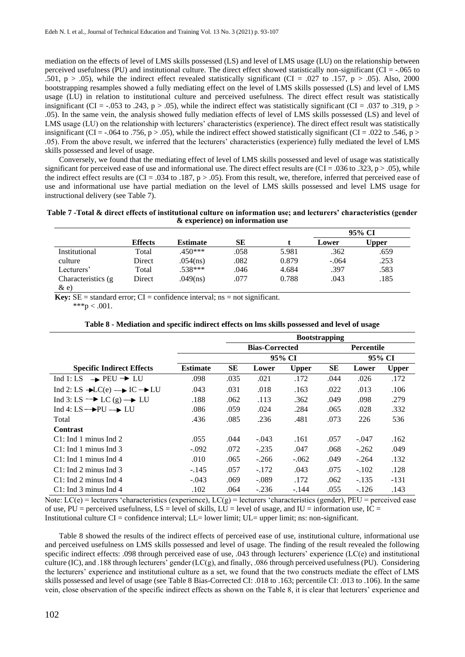mediation on the effects of level of LMS skills possessed (LS) and level of LMS usage (LU) on the relationship between perceived usefulness (PU) and institutional culture. The direct effect showed statistically non-significant (CI = -.065 to .501, p > .05), while the indirect effect revealed statistically significant (CI = .027 to .157, p > .05). Also, 2000 bootstrapping resamples showed a fully mediating effect on the level of LMS skills possessed (LS) and level of LMS usage (LU) in relation to institutional culture and perceived usefulness. The direct effect result was statistically insignificant (CI = -.053 to .243, p > .05), while the indirect effect was statistically significant (CI = .037 to .319, p > .05). In the same vein, the analysis showed fully mediation effects of level of LMS skills possessed (LS) and level of LMS usage (LU) on the relationship with lecturers' characteristics (experience). The direct effect result was statistically insignificant (CI = -.064 to .756, p > .05), while the indirect effect showed statistically significant (CI = .022 to .546, p > .05). From the above result, we inferred that the lecturers' characteristics (experience) fully mediated the level of LMS skills possessed and level of usage.

Conversely, we found that the mediating effect of level of LMS skills possessed and level of usage was statistically significant for perceived ease of use and informational use. The direct effect results are  $(Cl = .036$  to .323, p  $> .05$ ), while the indirect effect results are  $(CI = .034$  to  $.187, p > .05)$ . From this result, we, therefore, inferred that perceived ease of use and informational use have partial mediation on the level of LMS skills possessed and level LMS usage for instructional delivery (see Table 7).

| Table 7 - Total & direct effects of institutional culture on information use; and lecturers' characteristics (gender |  |
|----------------------------------------------------------------------------------------------------------------------|--|
| & experience) on information use                                                                                     |  |

|                     |                |                 |      |       | 95% CI  |              |  |
|---------------------|----------------|-----------------|------|-------|---------|--------------|--|
|                     | <b>Effects</b> | <b>Estimate</b> | SЕ   |       | Lower   | <b>Upper</b> |  |
| Institutional       | Total          | .450***         | .058 | 5.981 | .362    | .659         |  |
| culture             | Direct         | .054(ns)        | .082 | 0.879 | $-.064$ | .253         |  |
| Lecturers'          | Total          | .538***         | .046 | 4.684 | .397    | .583         |  |
| Characteristics (g) | Direct         | .049(ns)        | .077 | 0.788 | .043    | .185         |  |
| $\&$ e)             |                |                 |      |       |         |              |  |

**Key:**  $SE =$  standard error;  $CI =$  confidence interval; ns = not significant.

 $***p < .001.$ 

|                                                                 |                 | <b>Bootstrapping</b> |                                            |              |      |         |              |  |
|-----------------------------------------------------------------|-----------------|----------------------|--------------------------------------------|--------------|------|---------|--------------|--|
|                                                                 |                 |                      | <b>Bias-Corrected</b><br><b>Percentile</b> |              |      |         |              |  |
|                                                                 |                 |                      |                                            | 95% CI       |      |         | 95% CI       |  |
| <b>Specific Indirect Effects</b>                                | <b>Estimate</b> | SЕ                   | Lower                                      | <b>Upper</b> | SЕ   | Lower   | <b>Upper</b> |  |
| Ind 1: LS $\rightarrow$ PEU $\rightarrow$ LU                    | .098            | .035                 | .021                                       | .172         | .044 | .026    | .172         |  |
| Ind 2: LS $\rightarrow$ LC(e) $\rightarrow$ IC $\rightarrow$ LU | .043            | .031                 | .018                                       | .163         | .022 | .013    | .106         |  |
| Ind 3: LS $\rightarrow$ LC (g) $\rightarrow$ LU                 | .188            | .062                 | .113                                       | .362         | .049 | .098    | .279         |  |
| Ind 4: $LS \rightarrow PU \rightarrow LU$                       | .086            | .059                 | .024                                       | .284         | .065 | .028    | .332         |  |
| Total                                                           | .436            | .085                 | .236                                       | .481         | .073 | 226     | 536          |  |
| <b>Contrast</b>                                                 |                 |                      |                                            |              |      |         |              |  |
| $C1$ : Ind 1 minus Ind 2                                        | .055            | .044                 | $-.043$                                    | .161         | .057 | $-.047$ | .162         |  |
| $C1$ : Ind 1 minus Ind 3                                        | $-.092$         | .072                 | $-.235$                                    | .047         | .068 | $-.262$ | .049         |  |
| $C1$ : Ind 1 minus Ind 4                                        | .010            | .065                 | $-.266$                                    | $-.062$      | .049 | $-.264$ | .132         |  |
| $C1:$ Ind 2 minus Ind 3                                         | $-.145$         | .057                 | $-.172$                                    | .043         | .075 | $-.102$ | .128         |  |
| $C1$ : Ind 2 minus Ind 4                                        | $-.043$         | .069                 | $-.089$                                    | .172         | .062 | $-.135$ | $-131$       |  |
| $C1$ : Ind 3 minus Ind 4                                        | .102            | .064                 | $-.236$                                    | $-.144$      | .055 | $-.126$ | .143         |  |

**Table 8 - Mediation and specific indirect effects on lms skills possessed and level of usage**

Note:  $LC(e)$  = lecturers 'characteristics (experience),  $LC(g)$  = lecturers 'characteristics (gender), PEU = perceived ease of use,  $PU =$  perceived usefulness,  $LS =$  level of skills,  $LU =$  level of usage, and  $IU =$  information use,  $IC =$ Institutional culture CI = confidence interval; LL= lower limit; UL= upper limit; ns: non-significant.

Table 8 showed the results of the indirect effects of perceived ease of use, institutional culture, informational use and perceived usefulness on LMS skills possessed and level of usage. The finding of the result revealed the following specific indirect effects: .098 through perceived ease of use, .043 through lecturers' experience (LC(e) and institutional culture (IC), and .188 through lecturers' gender (LC(g), and finally, .086 through perceived usefulness (PU). Considering the lecturers' experience and institutional culture as a set, we found that the two constructs mediate the effect of LMS skills possessed and level of usage (see Table 8 Bias-Corrected CI: .018 to .163; percentile CI: .013 to .106). In the same vein, close observation of the specific indirect effects as shown on the Table 8, it is clear that lecturers' experience and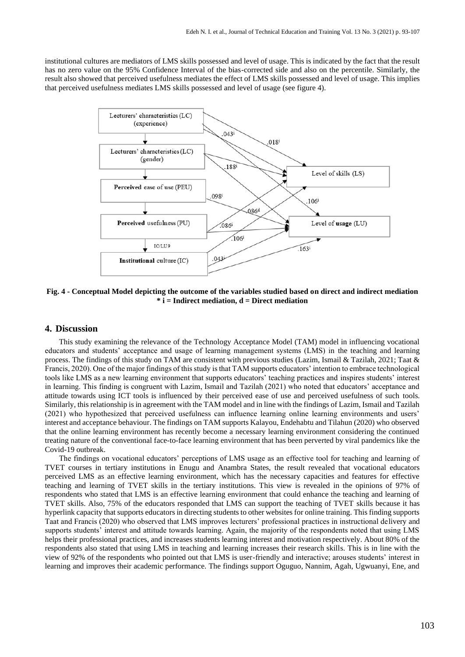institutional cultures are mediators of LMS skills possessed and level of usage. This is indicated by the fact that the result has no zero value on the 95% Confidence Interval of the bias-corrected side and also on the percentile. Similarly, the result also showed that perceived usefulness mediates the effect of LMS skills possessed and level of usage. This implies that perceived usefulness mediates LMS skills possessed and level of usage (see figure 4).



**Fig. 4 - Conceptual Model depicting the outcome of the variables studied based on direct and indirect mediation \* i = Indirect mediation, d = Direct mediation**

## **4. Discussion**

This study examining the relevance of the Technology Acceptance Model (TAM) model in influencing vocational educators and students' acceptance and usage of learning management systems (LMS) in the teaching and learning process. The findings of this study on TAM are consistent with previous studies (Lazim, Ismail & Tazilah, 2021; Taat & Francis, 2020). One of the major findings of this study is that TAM supports educators' intention to embrace technological tools like LMS as a new learning environment that supports educators' teaching practices and inspires students' interest in learning. This finding is congruent with Lazim, Ismail and Tazilah (2021) who noted that educators' acceptance and attitude towards using ICT tools is influenced by their perceived ease of use and perceived usefulness of such tools. Similarly, this relationship is in agreement with the TAM model and in line with the findings of Lazim, Ismail and Tazilah (2021) who hypothesized that perceived usefulness can influence learning online learning environments and users' interest and acceptance behaviour. The findings on TAM supports Kalayou, Endehabtu and Tilahun (2020) who observed that the online learning environment has recently become a necessary learning environment considering the continued treating nature of the conventional face-to-face learning environment that has been perverted by viral pandemics like the Covid-19 outbreak.

The findings on vocational educators' perceptions of LMS usage as an effective tool for teaching and learning of TVET courses in tertiary institutions in Enugu and Anambra States, the result revealed that vocational educators perceived LMS as an effective learning environment, which has the necessary capacities and features for effective teaching and learning of TVET skills in the tertiary institutions. This view is revealed in the opinions of 97% of respondents who stated that LMS is an effective learning environment that could enhance the teaching and learning of TVET skills. Also, 75% of the educators responded that LMS can support the teaching of TVET skills because it has hyperlink capacity that supports educators in directing students to other websites for online training. This finding supports Taat and Francis (2020) who observed that LMS improves lecturers' professional practices in instructional delivery and supports students' interest and attitude towards learning. Again, the majority of the respondents noted that using LMS helps their professional practices, and increases students learning interest and motivation respectively. About 80% of the respondents also stated that using LMS in teaching and learning increases their research skills. This is in line with the view of 92% of the respondents who pointed out that LMS is user-friendly and interactive; arouses students' interest in learning and improves their academic performance. The findings support Oguguo, Nannim, Agah, Ugwuanyi, Ene, and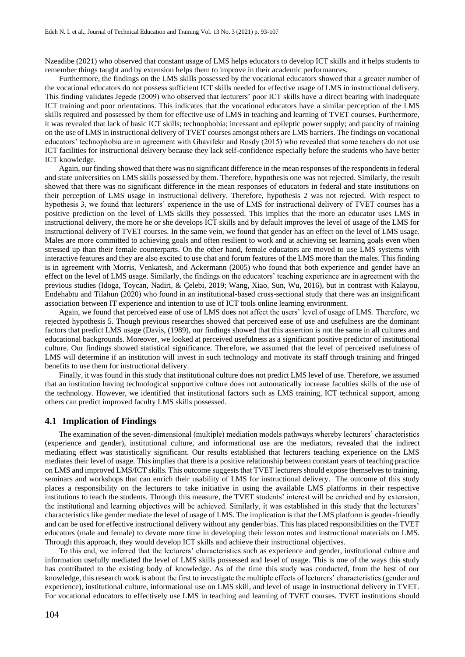Nzeadibe (2021) who observed that constant usage of LMS helps educators to develop ICT skills and it helps students to remember things taught and by extension helps them to improve in their academic performances.

Furthermore, the findings on the LMS skills possessed by the vocational educators showed that a greater number of the vocational educators do not possess sufficient ICT skills needed for effective usage of LMS in instructional delivery. This finding validates Jegede (2009) who observed that lecturers' poor ICT skills have a direct bearing with inadequate ICT training and poor orientations. This indicates that the vocational educators have a similar perception of the LMS skills required and possessed by them for effective use of LMS in teaching and learning of TVET courses. Furthermore, it was revealed that lack of basic ICT skills; technophobia; incessant and epileptic power supply; and paucity of training on the use of LMS in instructional delivery of TVET courses amongst others are LMS barriers. The findings on vocational educators' technophobia are in agreement with Ghavifekr and Rosdy (2015) who revealed that some teachers do not use ICT facilities for instructional delivery because they lack self-confidence especially before the students who have better ICT knowledge.

Again, our finding showed that there was no significant difference in the mean responses of the respondents in federal and state universities on LMS skills possessed by them. Therefore, hypothesis one was not rejected. Similarly, the result showed that there was no significant difference in the mean responses of educators in federal and state institutions on their perception of LMS usage in instructional delivery. Therefore, hypothesis 2 was not rejected. With respect to hypothesis 3, we found that lecturers' experience in the use of LMS for instructional delivery of TVET courses has a positive prediction on the level of LMS skills they possessed. This implies that the more an educator uses LMS in instructional delivery, the more he or she develops ICT skills and by default improves the level of usage of the LMS for instructional delivery of TVET courses. In the same vein, we found that gender has an effect on the level of LMS usage. Males are more committed to achieving goals and often resilient to work and at achieving set learning goals even when stressed up than their female counterparts. On the other hand, female educators are moved to use LMS systems with interactive features and they are also excited to use chat and forum features of the LMS more than the males. This finding is in agreement with Morris, Venkatesh, and Ackermann (2005) who found that both experience and gender have an effect on the level of LMS usage. Similarly, the findings on the educators' teaching experience are in agreement with the previous studies (Idoga, Toycan, Nadiri, & Çelebi, 2019; Wang, Xiao, Sun, Wu, 2016), but in contrast with Kalayou, Endehabtu and Tilahun (2020) who found in an institutional-based cross-sectional study that there was an insignificant association between IT experience and intention to use of ICT tools online learning environment.

Again, we found that perceived ease of use of LMS does not affect the users' level of usage of LMS. Therefore, we rejected hypothesis 5. Though previous researches showed that perceived ease of use and usefulness are the dominant factors that predict LMS usage (Davis, (1989), our findings showed that this assertion is not the same in all cultures and educational backgrounds. Moreover, we looked at perceived usefulness as a significant positive predictor of institutional culture. Our findings showed statistical significance. Therefore, we assumed that the level of perceived usefulness of LMS will determine if an institution will invest in such technology and motivate its staff through training and fringed benefits to use them for instructional delivery.

Finally, it was found in this study that institutional culture does not predict LMS level of use. Therefore, we assumed that an institution having technological supportive culture does not automatically increase faculties skills of the use of the technology. However, we identified that institutional factors such as LMS training, ICT technical support, among others can predict improved faculty LMS skills possessed.

## **4.1 Implication of Findings**

The examination of the seven-dimensional (multiple) mediation models pathways whereby lecturers' characteristics (experience and gender), institutional culture, and informational use are the mediators, revealed that the indirect mediating effect was statistically significant. Our results established that lecturers teaching experience on the LMS mediates their level of usage. This implies that there is a positive relationship between constant years of teaching practice on LMS and improved LMS/ICT skills. This outcome suggests that TVET lecturers should expose themselves to training, seminars and workshops that can enrich their usability of LMS for instructional delivery. The outcome of this study places a responsibility on the lecturers to take initiative in using the available LMS platforms in their respective institutions to teach the students. Through this measure, the TVET students' interest will be enriched and by extension, the institutional and learning objectives will be achieved. Similarly, it was established in this study that the lecturers' characteristics like gender mediate the level of usage of LMS. The implication is that the LMS platform is gender-friendly and can be used for effective instructional delivery without any gender bias. This has placed responsibilities on the TVET educators (male and female) to devote more time in developing their lesson notes and instructional materials on LMS. Through this approach, they would develop ICT skills and achieve their instructional objectives.

To this end, we inferred that the lecturers' characteristics such as experience and gender, institutional culture and information usefully mediated the level of LMS skills possessed and level of usage. This is one of the ways this study has contributed to the existing body of knowledge. As of the time this study was conducted, from the best of our knowledge, this research work is about the first to investigate the multiple effects of lecturers' characteristics (gender and experience), institutional culture, informational use on LMS skill, and level of usage in instructional delivery in TVET. For vocational educators to effectively use LMS in teaching and learning of TVET courses. TVET institutions should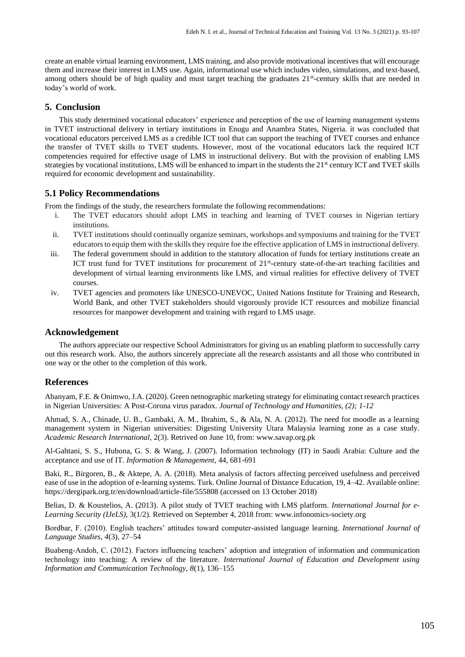create an enable virtual learning environment, LMS training, and also provide motivational incentives that will encourage them and increase their interest in LMS use. Again, informational use which includes video, simulations, and text-based, among others should be of high quality and must target teaching the graduates 21<sup>st</sup>-century skills that are needed in today's world of work.

## **5. Conclusion**

This study determined vocational educators' experience and perception of the use of learning management systems in TVET instructional delivery in tertiary institutions in Enugu and Anambra States, Nigeria. it was concluded that vocational educators perceived LMS as a credible ICT tool that can support the teaching of TVET courses and enhance the transfer of TVET skills to TVET students. However, most of the vocational educators lack the required ICT competencies required for effective usage of LMS in instructional delivery. But with the provision of enabling LMS strategies by vocational institutions, LMS will be enhanced to impart in the students the  $21<sup>st</sup>$  century ICT and TVET skills required for economic development and sustainability.

## **5.1 Policy Recommendations**

From the findings of the study, the researchers formulate the following recommendations:

- i. The TVET educators should adopt LMS in teaching and learning of TVET courses in Nigerian tertiary institutions.
- ii. TVET institutions should continually organize seminars, workshops and symposiums and training for the TVET educators to equip them with the skills they require foe the effective application of LMS in instructional delivery.
- iii. The federal government should in addition to the statutory allocation of funds for tertiary institutions create an ICT trust fund for TVET institutions for procurement of 21<sup>st</sup>-century state-of-the-art teaching facilities and development of virtual learning environments like LMS, and virtual realities for effective delivery of TVET courses.
- iv. TVET agencies and promoters like UNESCO-UNEVOC, United Nations Institute for Training and Research, [World Bank,](http://www.worldbank.org/) and other TVET stakeholders should vigorously provide ICT resources and mobilize financial resources for manpower development and training with regard to LMS usage.

## **Acknowledgement**

The authors appreciate our respective School Administrators for giving us an enabling platform to successfully carry out this research work. Also, the authors sincerely appreciate all the research assistants and all those who contributed in one way or the other to the completion of this work.

## **References**

Abanyam, F.E. & Onimwo, J.A. (2020). Green netnographic marketing strategy for eliminating contact research practices in Nigerian Universities: A Post-Corona virus paradox. *Journal of Technology and Humanities, (2); 1-12*

Ahmad, S. A., Chinade, U. B., Gambaki, A. M., Ibrahim, S., & Ala, N. A. (2012). The need for moodle as a learning management system in Nigerian universities: Digesting University Utara Malaysia learning zone as a case study. *Academic Research International*, 2(3). Retrived on June 10, from: www.savap.org.pk

Al-Gahtani, S. S., Hubona, G. S. & Wang, J. (2007). Information technology (IT) in Saudi Arabia: Culture and the acceptance and use of IT. *Information & Management*, 44, 681-691

Baki, R., Birgoren, B., & Aktepe, A. A. (2018). Meta analysis of factors affecting perceived usefulness and perceived ease of use in the adoption of e-learning systems. Turk. Online Journal of Distance Education, 19, 4–42. Available online: https://dergipark.org.tr/en/download/article-file/555808 (accessed on 13 October 2018)

Belias, D. & Koustelios, A. (2013). A pilot study of TVET teaching with LMS platform. *International Journal for e-Learning Security (IJeLS),* 3(1/2). Retrieved on September 4, 2018 from: www.infonomics-society.org

Bordbar, F. (2010). English teachers' attitudes toward computer-assisted language learning. *International Journal of Language Studies*, *4*(3), 27–54

Buabeng-Andoh, C. (2012). Factors influencing teachers' adoption and integration of information and communication technology into teaching: A review of the literature. *International Journal of Education and Development using Information and Communication Technology, 8*(1), 136–155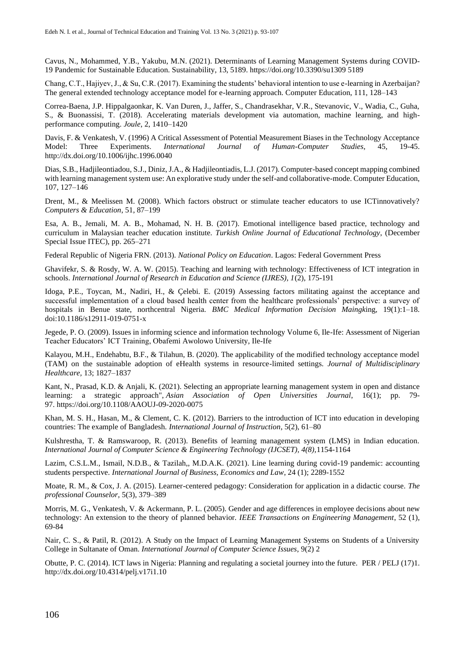Cavus, N., Mohammed, Y.B., Yakubu, M.N. (2021). Determinants of Learning Management Systems during COVID-19 Pandemic for Sustainable Education. Sustainability, 13, 5189. https://doi.org/10.3390/su1309 5189

Chang, C.T., Hajiyev, J., & Su, C.R. (2017). Examining the students' behavioral intention to use e-learning in Azerbaijan? The general extended technology acceptance model for e-learning approach. Computer Education, 111, 128–143

Correa-Baena, J.P. Hippalgaonkar, K. Van Duren, J., Jaffer, S., Chandrasekhar, V.R., Stevanovic, V., Wadia, C., Guha, S., & Buonassisi, T. (2018). Accelerating materials development via automation, machine learning, and highperformance computing. *Joule*, 2, 1410–1420

Davis, F. & Venkatesh, V. (1996) A Critical Assessment of Potential Measurement Biases in the Technology Acceptance Model: Three Experiments. *International Journal of Human-Computer Studies*, 45, 19-45. http://dx.doi.org/10.1006/ijhc.1996.0040

Dias, S.B., Hadjileontiadou, S.J., Diniz, J.A., & Hadjileontiadis, L.J. (2017). Computer-based concept mapping combined with learning management system use: An explorative study under the self-and collaborative-mode. Computer Education, 107, 127–146

Drent, M., & Meelissen M. (2008). Which factors obstruct or stimulate teacher educators to use ICTinnovatively? *Computers & Education*, 51, 87–199

Esa, A. B., Jemali, M. A. B., Mohamad, N. H. B. (2017). Emotional intelligence based practice, technology and curriculum in Malaysian teacher education institute. *Turkish Online Journal of Educational Technology*, (December Special Issue ITEC), pp. 265–271

Federal Republic of Nigeria FRN. (2013). *National Policy on Education*. Lagos: Federal Government Press

Ghavifekr, S. & Rosdy, W. A. W. (2015). Teaching and learning with technology: Effectiveness of ICT integration in schools. *International Journal of Research in Education and Science (IJRES), 1*(2), 175-191

Idoga, P.E., Toycan, M., Nadiri, H., & Çelebi. E. (2019) Assessing factors militating against the acceptance and successful implementation of a cloud based health center from the healthcare professionals' perspective: a survey of hospitals in Benue state, northcentral Nigeria. *BMC Medical Information Decision Maingk*ing, 19(1):1–18. doi:10.1186/s12911-019-0751-x

Jegede, P. O. (2009). Issues in informing science and information technology Volume 6, Ile-Ife: Assessment of Nigerian Teacher Educators' ICT Training, Obafemi Awolowo University, Ile-Ife

Kalayou, M.H., Endehabtu, B.F., & Tilahun, B. (2020). The applicability of the modified technology acceptance model (TAM) on the sustainable adoption of eHealth systems in resource-limited settings. *Journal of Multidisciplinary Healthcare,* 13; 1827–1837

[Kant, N.,](https://www.emerald.com/insight/search?q=Nikhil%20Kant) [Prasad, K.D.](https://www.emerald.com/insight/search?q=K.D.%20Prasad) & [Anjali, K.](https://www.emerald.com/insight/search?q=Kumari%20Anjali) (2021). Selecting an appropriate learning management system in open and distance learning: a strategic approach", *[Asian Association of Open Universities Journal](https://www.emerald.com/insight/publication/issn/2414-6994)*, 16(1); pp. 79- 97. <https://doi.org/10.1108/AAOUJ-09-2020-0075>

Khan, M. S. H., Hasan, M., & Clement, C. K. (2012). Barriers to the introduction of ICT into education in developing countries: The example of Bangladesh. *International Journal of Instruction*, 5(2), 61–80

Kulshrestha, T. & Ramswaroop, R. (2013). Benefits of learning management system (LMS) in Indian education. *International Journal of Computer Science & Engineering Technology (IJCSET), 4(8),*1154-1164

Lazim, C.S.L.M., Ismail, N.D.B., & Tazilah,, M.D.A.K. (2021). Line learning during covid-19 pandemic: accounting students perspective. *International Journal of Business, Economics and Law*, 24 (1); 2289-1552

Moate, R. M., & Cox, J. A. (2015). Learner-centered pedagogy: Consideration for application in a didactic course. *The professional Counselor*, 5(3), 379–389

Morris, M. G., Venkatesh, V. & Ackermann, P. L. (2005). Gender and age differences in employee decisions about new technology: An extension to the theory of planned behavior. *IEEE Transactions on Engineering Management*, 52 (1), 69-84

Nair, C. S., & Patil, R. (2012). A Study on the Impact of Learning Management Systems on Students of a University College in Sultanate of Oman. *International Journal of Computer Science Issues*, 9(2) 2

Obutte, P. C. (2014). ICT laws in Nigeria: Planning and regulating a societal journey into the future. PER / PELJ (17)1. [http://dx.doi.org/10.4314/pelj.v17i1.10](file:///C:/Users/nathaniel/AppData/Local/Temp/ICT%20laws%20in%20nigeria%20planning%20and%20regulating%20a%20societal%20journey%20into%20the%20future.rtf)